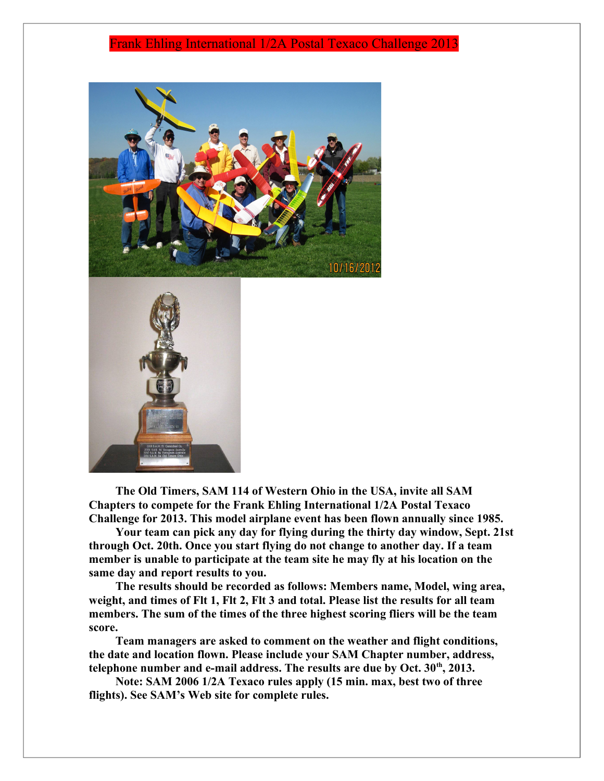## Frank Ehling International 1/2A Postal Texaco Challenge 2013



**The Old Timers, SAM 114 of Western Ohio in the USA, invite all SAM Chapters to compete for the Frank Ehling International 1/2A Postal Texaco Challenge for 2013. This model airplane event has been flown annually since 1985.** 

**Your team can pick any day for flying during the thirty day window, Sept. 21st through Oct. 20th. Once you start flying do not change to another day. If a team member is unable to participate at the team site he may fly at his location on the same day and report results to you.**

**The results should be recorded as follows: Members name, Model, wing area, weight, and times of Flt 1, Flt 2, Flt 3 and total. Please list the results for all team members. The sum of the times of the three highest scoring fliers will be the team score.**

**Team managers are asked to comment on the weather and flight conditions, the date and location flown. Please include your SAM Chapter number, address, telephone number and e-mail address. The results are due by Oct. 30th, 2013.**

**Note: SAM 2006 1/2A Texaco rules apply (15 min. max, best two of three flights). See SAM's Web site for complete rules.**